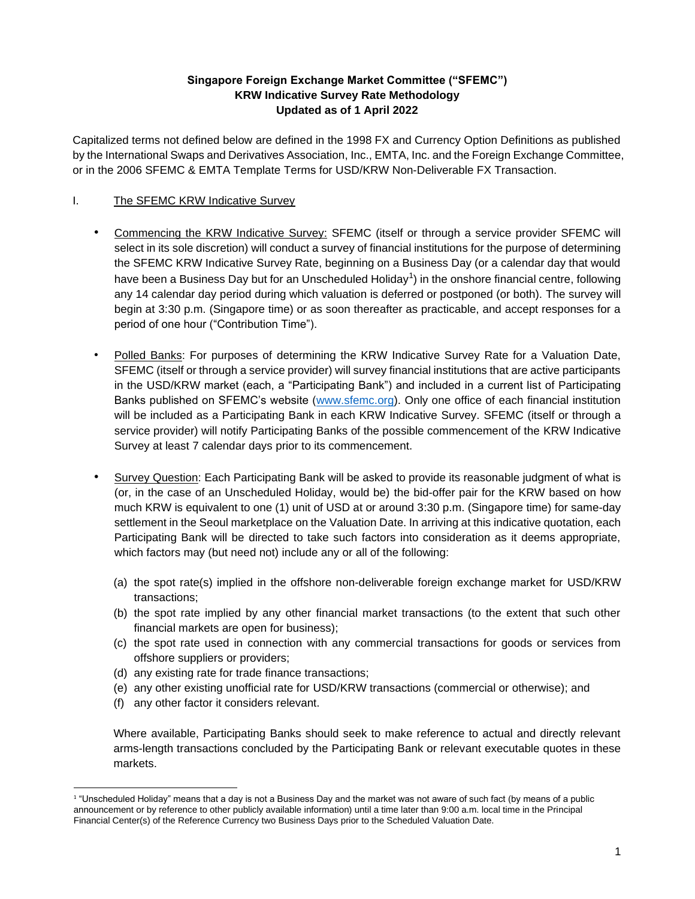## **Singapore Foreign Exchange Market Committee ("SFEMC") KRW Indicative Survey Rate Methodology Updated as of 1 April 2022**

Capitalized terms not defined below are defined in the 1998 FX and Currency Option Definitions as published by the International Swaps and Derivatives Association, Inc., EMTA, Inc. and the Foreign Exchange Committee, or in the 2006 SFEMC & EMTA Template Terms for USD/KRW Non-Deliverable FX Transaction.

# I. The SFEMC KRW Indicative Survey

- Commencing the KRW Indicative Survey: SFEMC (itself or through a service provider SFEMC will select in its sole discretion) will conduct a survey of financial institutions for the purpose of determining the SFEMC KRW Indicative Survey Rate, beginning on a Business Day (or a calendar day that would have been a Business Day but for an Unscheduled Holiday<sup>1</sup>) in the onshore financial centre, following any 14 calendar day period during which valuation is deferred or postponed (or both). The survey will begin at 3:30 p.m. (Singapore time) or as soon thereafter as practicable, and accept responses for a period of one hour ("Contribution Time").
- Polled Banks: For purposes of determining the KRW Indicative Survey Rate for a Valuation Date, SFEMC (itself or through a service provider) will survey financial institutions that are active participants in the USD/KRW market (each, a "Participating Bank") and included in a current list of Participating Banks published on SFEMC's website [\(www.sfemc.org\)](http://www.sfemc.org/). Only one office of each financial institution will be included as a Participating Bank in each KRW Indicative Survey. SFEMC (itself or through a service provider) will notify Participating Banks of the possible commencement of the KRW Indicative Survey at least 7 calendar days prior to its commencement.
- Survey Question: Each Participating Bank will be asked to provide its reasonable judgment of what is (or, in the case of an Unscheduled Holiday, would be) the bid-offer pair for the KRW based on how much KRW is equivalent to one (1) unit of USD at or around 3:30 p.m. (Singapore time) for same-day settlement in the Seoul marketplace on the Valuation Date. In arriving at this indicative quotation, each Participating Bank will be directed to take such factors into consideration as it deems appropriate, which factors may (but need not) include any or all of the following:
	- (a) the spot rate(s) implied in the offshore non-deliverable foreign exchange market for USD/KRW transactions;
	- (b) the spot rate implied by any other financial market transactions (to the extent that such other financial markets are open for business);
	- (c) the spot rate used in connection with any commercial transactions for goods or services from offshore suppliers or providers;
	- (d) any existing rate for trade finance transactions;
	- (e) any other existing unofficial rate for USD/KRW transactions (commercial or otherwise); and
	- (f) any other factor it considers relevant.

Where available, Participating Banks should seek to make reference to actual and directly relevant arms-length transactions concluded by the Participating Bank or relevant executable quotes in these markets.

<sup>1</sup> "Unscheduled Holiday" means that a day is not a Business Day and the market was not aware of such fact (by means of a public announcement or by reference to other publicly available information) until a time later than 9:00 a.m. local time in the Principal Financial Center(s) of the Reference Currency two Business Days prior to the Scheduled Valuation Date.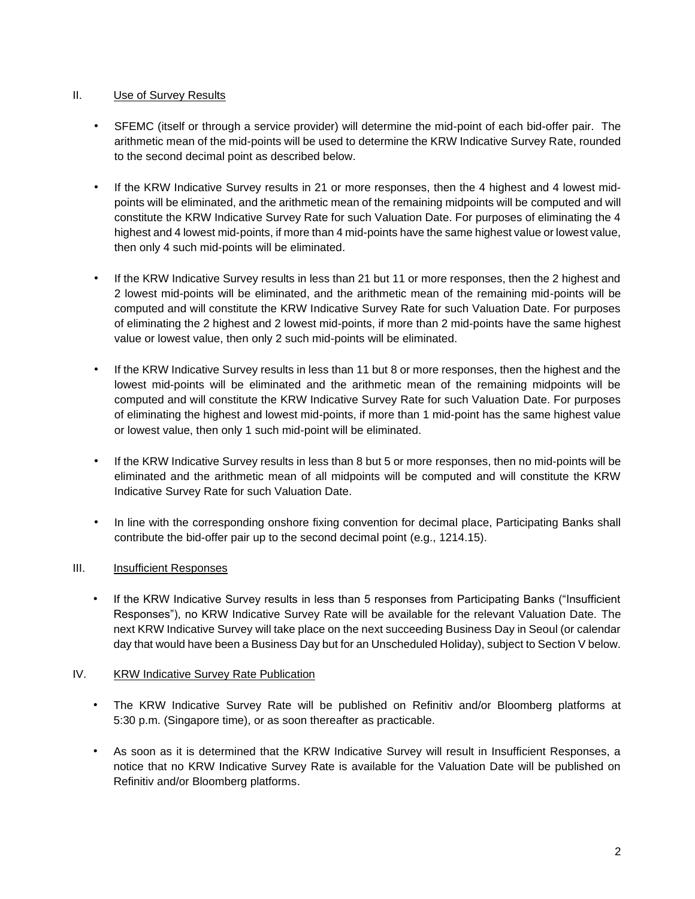## II. Use of Survey Results

- SFEMC (itself or through a service provider) will determine the mid-point of each bid-offer pair. The arithmetic mean of the mid-points will be used to determine the KRW Indicative Survey Rate, rounded to the second decimal point as described below.
- If the KRW Indicative Survey results in 21 or more responses, then the 4 highest and 4 lowest midpoints will be eliminated, and the arithmetic mean of the remaining midpoints will be computed and will constitute the KRW Indicative Survey Rate for such Valuation Date. For purposes of eliminating the 4 highest and 4 lowest mid-points, if more than 4 mid-points have the same highest value or lowest value, then only 4 such mid-points will be eliminated.
- If the KRW Indicative Survey results in less than 21 but 11 or more responses, then the 2 highest and 2 lowest mid-points will be eliminated, and the arithmetic mean of the remaining mid-points will be computed and will constitute the KRW Indicative Survey Rate for such Valuation Date. For purposes of eliminating the 2 highest and 2 lowest mid-points, if more than 2 mid-points have the same highest value or lowest value, then only 2 such mid-points will be eliminated.
- If the KRW Indicative Survey results in less than 11 but 8 or more responses, then the highest and the lowest mid-points will be eliminated and the arithmetic mean of the remaining midpoints will be computed and will constitute the KRW Indicative Survey Rate for such Valuation Date. For purposes of eliminating the highest and lowest mid-points, if more than 1 mid-point has the same highest value or lowest value, then only 1 such mid-point will be eliminated.
- If the KRW Indicative Survey results in less than 8 but 5 or more responses, then no mid-points will be eliminated and the arithmetic mean of all midpoints will be computed and will constitute the KRW Indicative Survey Rate for such Valuation Date.
- In line with the corresponding onshore fixing convention for decimal place, Participating Banks shall contribute the bid-offer pair up to the second decimal point (e.g., 1214.15).

## III. **Insufficient Responses**

• If the KRW Indicative Survey results in less than 5 responses from Participating Banks ("Insufficient Responses"), no KRW Indicative Survey Rate will be available for the relevant Valuation Date. The next KRW Indicative Survey will take place on the next succeeding Business Day in Seoul (or calendar day that would have been a Business Day but for an Unscheduled Holiday), subject to Section V below.

#### IV. KRW Indicative Survey Rate Publication

- The KRW Indicative Survey Rate will be published on Refinitiv and/or Bloomberg platforms at 5:30 p.m. (Singapore time), or as soon thereafter as practicable.
- As soon as it is determined that the KRW Indicative Survey will result in Insufficient Responses, a notice that no KRW Indicative Survey Rate is available for the Valuation Date will be published on Refinitiv and/or Bloomberg platforms.